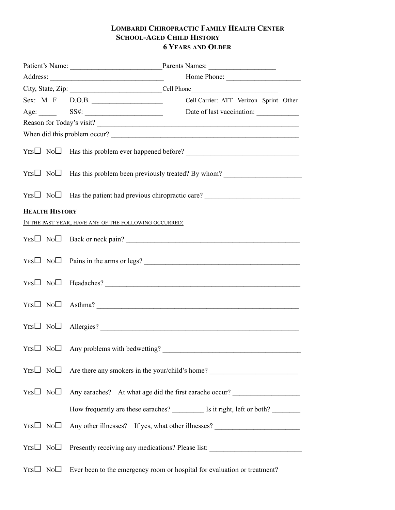## **LOMBARDI CHIROPRACTIC FAMILY HEALTH CENTER SCHOOL-AGED CHILD HISTORY 6 YEARS AND OLDER**

|                       | Patient's Name: Parents Names:                                                         |  |
|-----------------------|----------------------------------------------------------------------------------------|--|
|                       | Home Phone:                                                                            |  |
|                       |                                                                                        |  |
|                       | Sex: M F D.O.B.<br>Cell Carrier: ATT Verizon Sprint Other                              |  |
|                       | Age: SS#: SS#: Date of last vaccination:                                               |  |
|                       |                                                                                        |  |
|                       | When did this problem occur?                                                           |  |
|                       |                                                                                        |  |
|                       |                                                                                        |  |
|                       |                                                                                        |  |
| <b>HEALTH HISTORY</b> |                                                                                        |  |
|                       | IN THE PAST YEAR, HAVE ANY OF THE FOLLOWING OCCURRED:                                  |  |
|                       |                                                                                        |  |
|                       |                                                                                        |  |
|                       | $YES \Box \ No \Box$ Headaches?                                                        |  |
|                       | $YES \Box \ No \Box$ Asthma?                                                           |  |
|                       | $YES \Box NO \Box$ Allergies?                                                          |  |
|                       |                                                                                        |  |
|                       | $YES \Box \ No \Box$ Are there any smokers in the your/child's home?                   |  |
|                       | $YES \Box \ No \Box$ Any earaches? At what age did the first earache occur?            |  |
|                       | How frequently are these earaches? ____________ Is it right, left or both? ___________ |  |
|                       |                                                                                        |  |
|                       |                                                                                        |  |
|                       | $Y_{ES}$ No Ever been to the emergency room or hospital for evaluation or treatment?   |  |